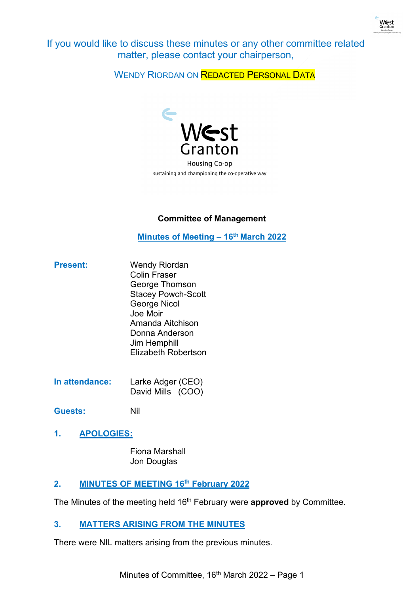

If you would like to discuss these minutes or any other committee related matter, please contact your chairperson,

WENDY RIORDAN ON **REDACTED PERSONAL DATA** 



# **Committee of Management**

**Minutes of Meeting - 16<sup>th</sup> March 2022** 

- **Present:** Wendy Riordan Colin Fraser George Thomson Stacey Powch-Scott George Nicol Joe Moir Amanda Aitchison Donna Anderson Jim Hemphill Elizabeth Robertson
- **In attendance:** Larke Adger (CEO) David Mills (COO)
- **Guests:** Nil
- **1. APOLOGIES:**

Fiona Marshall Jon Douglas

# **2. MINUTES OF MEETING 16th February 2022**

The Minutes of the meeting held 16th February were **approved** by Committee.

# **3. MATTERS ARISING FROM THE MINUTES**

There were NIL matters arising from the previous minutes.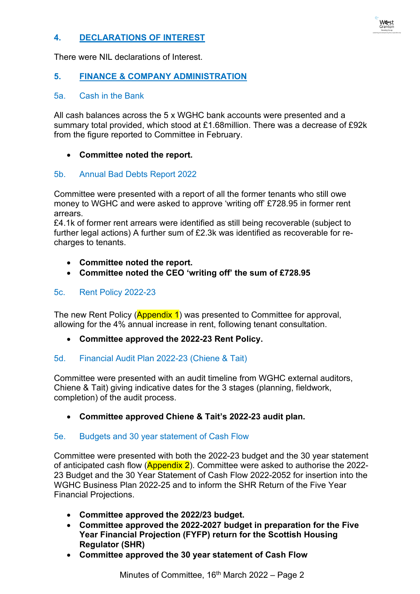# **4. DECLARATIONS OF INTEREST**

There were NIL declarations of Interest.

## **5. FINANCE & COMPANY ADMINISTRATION**

#### 5a. Cash in the Bank

All cash balances across the 5 x WGHC bank accounts were presented and a summary total provided, which stood at £1.68million. There was a decrease of £92k from the figure reported to Committee in February.

#### • **Committee noted the report.**

#### 5b. Annual Bad Debts Report 2022

Committee were presented with a report of all the former tenants who still owe money to WGHC and were asked to approve 'writing off' £728.95 in former rent arrears.

£4.1k of former rent arrears were identified as still being recoverable (subject to further legal actions) A further sum of £2.3k was identified as recoverable for recharges to tenants.

- **Committee noted the report.**
- **Committee noted the CEO 'writing off' the sum of £728.95**

#### 5c. Rent Policy 2022-23

The new Rent Policy (**Appendix 1**) was presented to Committee for approval, allowing for the 4% annual increase in rent, following tenant consultation.

• **Committee approved the 2022-23 Rent Policy.** 

#### 5d. Financial Audit Plan 2022-23 (Chiene & Tait)

Committee were presented with an audit timeline from WGHC external auditors, Chiene & Tait) giving indicative dates for the 3 stages (planning, fieldwork, completion) of the audit process.

• **Committee approved Chiene & Tait's 2022-23 audit plan.** 

#### 5e. Budgets and 30 year statement of Cash Flow

Committee were presented with both the 2022-23 budget and the 30 year statement of anticipated cash flow (**Appendix 2**). Committee were asked to authorise the 2022-23 Budget and the 30 Year Statement of Cash Flow 2022-2052 for insertion into the WGHC Business Plan 2022-25 and to inform the SHR Return of the Five Year Financial Projections.

- **Committee approved the 2022/23 budget.**
- **Committee approved the 2022-2027 budget in preparation for the Five Year Financial Projection (FYFP) return for the Scottish Housing Regulator (SHR)**
- **Committee approved the 30 year statement of Cash Flow**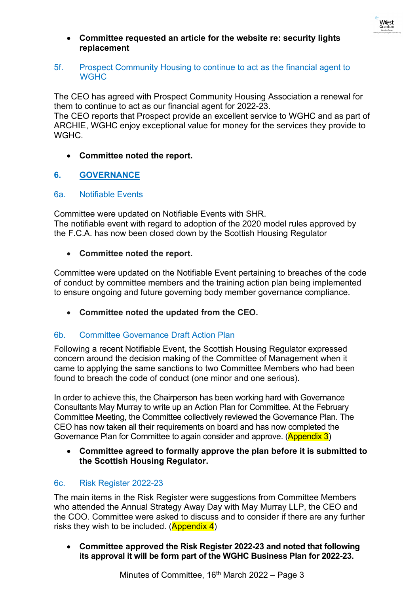

• **Committee requested an article for the website re: security lights replacement**

#### 5f. Prospect Community Housing to continue to act as the financial agent to **WGHC**

The CEO has agreed with Prospect Community Housing Association a renewal for them to continue to act as our financial agent for 2022-23.

The CEO reports that Prospect provide an excellent service to WGHC and as part of ARCHIE, WGHC enjoy exceptional value for money for the services they provide to WGHC.

## • **Committee noted the report.**

## **6. GOVERNANCE**

#### 6a. Notifiable Events

Committee were updated on Notifiable Events with SHR. The notifiable event with regard to adoption of the 2020 model rules approved by the F.C.A. has now been closed down by the Scottish Housing Regulator

#### • **Committee noted the report.**

Committee were updated on the Notifiable Event pertaining to breaches of the code of conduct by committee members and the training action plan being implemented to ensure ongoing and future governing body member governance compliance.

• **Committee noted the updated from the CEO.** 

#### 6b. Committee Governance Draft Action Plan

Following a recent Notifiable Event, the Scottish Housing Regulator expressed concern around the decision making of the Committee of Management when it came to applying the same sanctions to two Committee Members who had been found to breach the code of conduct (one minor and one serious).

In order to achieve this, the Chairperson has been working hard with Governance Consultants May Murray to write up an Action Plan for Committee. At the February Committee Meeting, the Committee collectively reviewed the Governance Plan. The CEO has now taken all their requirements on board and has now completed the Governance Plan for Committee to again consider and approve. (Appendix 3)

## • **Committee agreed to formally approve the plan before it is submitted to the Scottish Housing Regulator.**

#### 6c. Risk Register 2022-23

The main items in the Risk Register were suggestions from Committee Members who attended the Annual Strategy Away Day with May Murray LLP, the CEO and the COO. Committee were asked to discuss and to consider if there are any further risks they wish to be included.  $(Appendix 4)$ 

• **Committee approved the Risk Register 2022-23 and noted that following its approval it will be form part of the WGHC Business Plan for 2022-23.**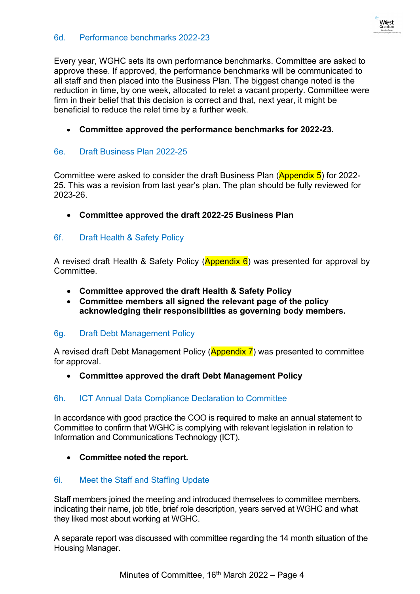

Every year, WGHC sets its own performance benchmarks. Committee are asked to approve these. If approved, the performance benchmarks will be communicated to all staff and then placed into the Business Plan. The biggest change noted is the reduction in time, by one week, allocated to relet a vacant property. Committee were firm in their belief that this decision is correct and that, next year, it might be beneficial to reduce the relet time by a further week.

• **Committee approved the performance benchmarks for 2022-23.**

## 6e. Draft Business Plan 2022-25

Committee were asked to consider the draft Business Plan (Appendix 5) for 2022-25. This was a revision from last year's plan. The plan should be fully reviewed for 2023-26.

• **Committee approved the draft 2022-25 Business Plan**

## 6f. Draft Health & Safety Policy

A revised draft Health & Safety Policy ( $\Delta$ ppendix 6) was presented for approval by Committee.

- **Committee approved the draft Health & Safety Policy**
- **Committee members all signed the relevant page of the policy acknowledging their responsibilities as governing body members.**

#### 6g. Draft Debt Management Policy

A revised draft Debt Management Policy (Appendix 7) was presented to committee for approval.

#### • **Committee approved the draft Debt Management Policy**

#### 6h. ICT Annual Data Compliance Declaration to Committee

In accordance with good practice the COO is required to make an annual statement to Committee to confirm that WGHC is complying with relevant legislation in relation to Information and Communications Technology (ICT).

• **Committee noted the report.**

#### 6i. Meet the Staff and Staffing Update

Staff members joined the meeting and introduced themselves to committee members, indicating their name, job title, brief role description, years served at WGHC and what they liked most about working at WGHC.

A separate report was discussed with committee regarding the 14 month situation of the Housing Manager.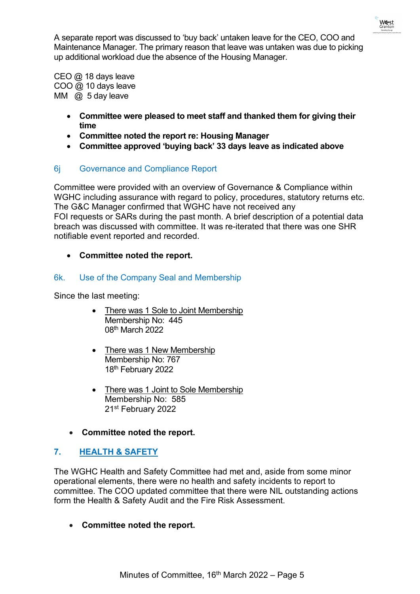

A separate report was discussed to 'buy back' untaken leave for the CEO, COO and Maintenance Manager. The primary reason that leave was untaken was due to picking up additional workload due the absence of the Housing Manager.

CEO @ 18 days leave COO @ 10 days leave MM  $\omega$  5 day leave

- **Committee were pleased to meet staff and thanked them for giving their time**
- **Committee noted the report re: Housing Manager**
- **Committee approved 'buying back' 33 days leave as indicated above**

# 6j Governance and Compliance Report

Committee were provided with an overview of Governance & Compliance within WGHC including assurance with regard to policy, procedures, statutory returns etc. The G&C Manager confirmed that WGHC have not received any FOI requests or SARs during the past month. A brief description of a potential data breach was discussed with committee. It was re-iterated that there was one SHR notifiable event reported and recorded.

# • **Committee noted the report.**

# 6k. Use of the Company Seal and Membership

Since the last meeting:

- There was 1 Sole to Joint Membership Membership No: 445 08th March 2022
- There was 1 New Membership Membership No: 767 18<sup>th</sup> February 2022
- There was 1 Joint to Sole Membership Membership No: 585 21st February 2022
- **Committee noted the report.**

# **7. HEALTH & SAFETY**

The WGHC Health and Safety Committee had met and, aside from some minor operational elements, there were no health and safety incidents to report to committee. The COO updated committee that there were NIL outstanding actions form the Health & Safety Audit and the Fire Risk Assessment.

• **Committee noted the report.**